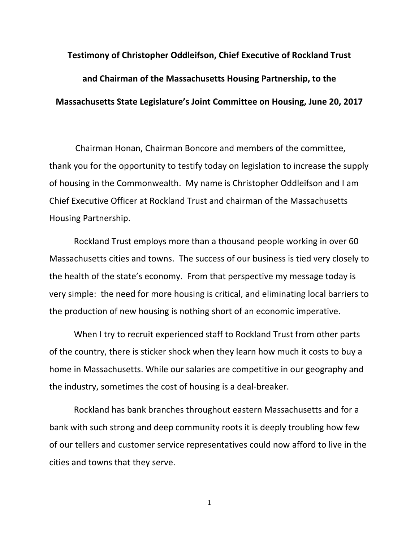## **Testimony of Christopher Oddleifson, Chief Executive of Rockland Trust and Chairman of the Massachusetts Housing Partnership, to the Massachusetts State Legislature's Joint Committee on Housing, June 20, 2017**

Chairman Honan, Chairman Boncore and members of the committee, thank you for the opportunity to testify today on legislation to increase the supply of housing in the Commonwealth. My name is Christopher Oddleifson and I am Chief Executive Officer at Rockland Trust and chairman of the Massachusetts Housing Partnership.

Rockland Trust employs more than a thousand people working in over 60 Massachusetts cities and towns. The success of our business is tied very closely to the health of the state's economy. From that perspective my message today is very simple: the need for more housing is critical, and eliminating local barriers to the production of new housing is nothing short of an economic imperative.

When I try to recruit experienced staff to Rockland Trust from other parts of the country, there is sticker shock when they learn how much it costs to buy a home in Massachusetts. While our salaries are competitive in our geography and the industry, sometimes the cost of housing is a deal‐breaker.

Rockland has bank branches throughout eastern Massachusetts and for a bank with such strong and deep community roots it is deeply troubling how few of our tellers and customer service representatives could now afford to live in the cities and towns that they serve.

1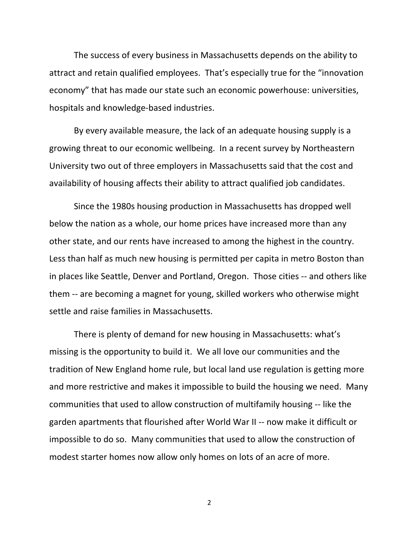The success of every business in Massachusetts depends on the ability to attract and retain qualified employees. That's especially true for the "innovation economy" that has made our state such an economic powerhouse: universities, hospitals and knowledge‐based industries.

By every available measure, the lack of an adequate housing supply is a growing threat to our economic wellbeing. In a recent survey by Northeastern University two out of three employers in Massachusetts said that the cost and availability of housing affects their ability to attract qualified job candidates.

Since the 1980s housing production in Massachusetts has dropped well below the nation as a whole, our home prices have increased more than any other state, and our rents have increased to among the highest in the country. Less than half as much new housing is permitted per capita in metro Boston than in places like Seattle, Denver and Portland, Oregon. Those cities ‐‐ and others like them ‐‐ are becoming a magnet for young, skilled workers who otherwise might settle and raise families in Massachusetts.

There is plenty of demand for new housing in Massachusetts: what's missing is the opportunity to build it. We all love our communities and the tradition of New England home rule, but local land use regulation is getting more and more restrictive and makes it impossible to build the housing we need. Many communities that used to allow construction of multifamily housing ‐‐ like the garden apartments that flourished after World War II ‐‐ now make it difficult or impossible to do so. Many communities that used to allow the construction of modest starter homes now allow only homes on lots of an acre of more.

2